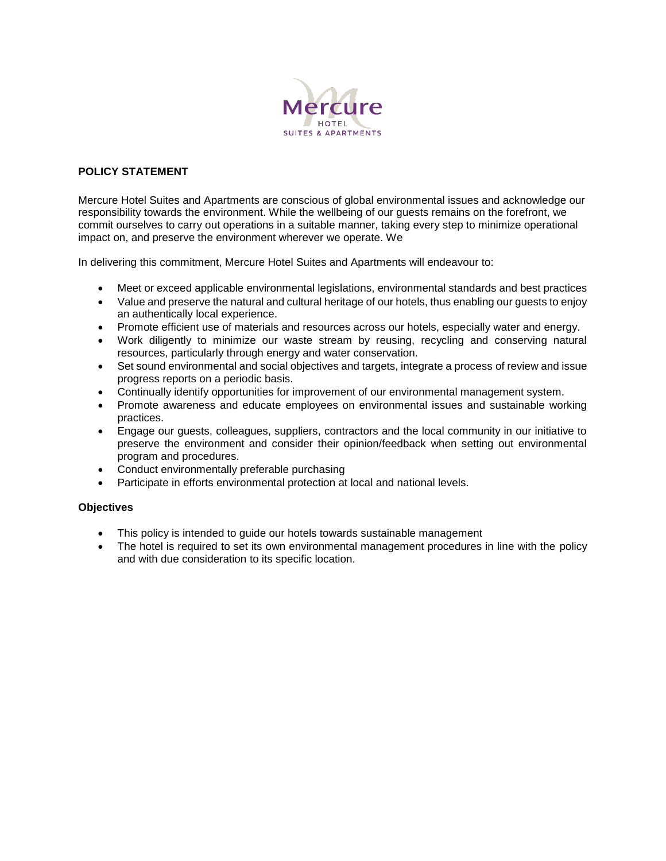

## **POLICY STATEMENT**

Mercure Hotel Suites and Apartments are conscious of global environmental issues and acknowledge our responsibility towards the environment. While the wellbeing of our guests remains on the forefront, we commit ourselves to carry out operations in a suitable manner, taking every step to minimize operational impact on, and preserve the environment wherever we operate. We

In delivering this commitment, Mercure Hotel Suites and Apartments will endeavour to:

- Meet or exceed applicable environmental legislations, environmental standards and best practices
- Value and preserve the natural and cultural heritage of our hotels, thus enabling our guests to enjoy an authentically local experience.
- Promote efficient use of materials and resources across our hotels, especially water and energy.
- Work diligently to minimize our waste stream by reusing, recycling and conserving natural resources, particularly through energy and water conservation.
- Set sound environmental and social objectives and targets, integrate a process of review and issue progress reports on a periodic basis.
- Continually identify opportunities for improvement of our environmental management system.
- Promote awareness and educate employees on environmental issues and sustainable working practices.
- Engage our guests, colleagues, suppliers, contractors and the local community in our initiative to preserve the environment and consider their opinion/feedback when setting out environmental program and procedures.
- Conduct environmentally preferable purchasing
- Participate in efforts environmental protection at local and national levels.

## **Objectives**

- This policy is intended to guide our hotels towards sustainable management
- The hotel is required to set its own environmental management procedures in line with the policy and with due consideration to its specific location.